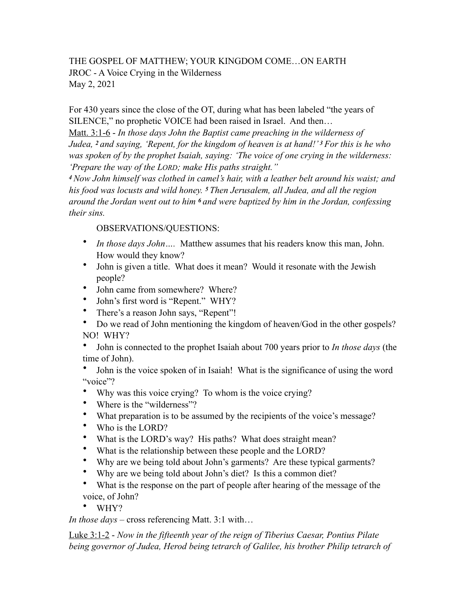# THE GOSPEL OF MATTHEW; YOUR KINGDOM COME…ON EARTH JROC - A Voice Crying in the Wilderness May 2, 2021

## For 430 years since the close of the OT, during what has been labeled "the years of SILENCE," no prophetic VOICE had been raised in Israel. And then…

Matt. 3:1-6 - *In those days John the Baptist came preaching in the wilderness of Judea, 2 and saying, 'Repent, for the kingdom of heaven is at hand!' 3 For this is he who was spoken of by the prophet Isaiah, saying: 'The voice of one crying in the wilderness: 'Prepare the way of the LORD; make His paths straight.''* 

*<sup>4</sup>Now John himself was clothed in camel's hair, with a leather belt around his waist; and his food was locusts and wild honey. 5 Then Jerusalem, all Judea, and all the region around the Jordan went out to him 6 and were baptized by him in the Jordan, confessing their sins.*

### OBSERVATIONS/QUESTIONS:

- *In those days John….* Matthew assumes that his readers know this man, John. How would they know?
- John is given a title. What does it mean? Would it resonate with the Jewish people?
- John came from somewhere? Where?
- John's first word is "Repent." WHY?
- There's a reason John says, "Repent"!
- Do we read of John mentioning the kingdom of heaven/God in the other gospels? NO! WHY?

• John is connected to the prophet Isaiah about 700 years prior to *In those days* (the time of John).

- John is the voice spoken of in Isaiah! What is the significance of using the word "voice"?
- Why was this voice crying? To whom is the voice crying?
- Where is the "wilderness"?
- What preparation is to be assumed by the recipients of the voice's message?
- Who is the LORD?
- What is the LORD's way? His paths? What does straight mean?
- What is the relationship between these people and the LORD?
- Why are we being told about John's garments? Are these typical garments?
- Why are we being told about John's diet? Is this a common diet?
- What is the response on the part of people after hearing of the message of the voice, of John?
- WHY?

*In those days –* cross referencing Matt. 3:1 with…

Luke 3:1-2 - *Now in the fifteenth year of the reign of Tiberius Caesar, Pontius Pilate being governor of Judea, Herod being tetrarch of Galilee, his brother Philip tetrarch of*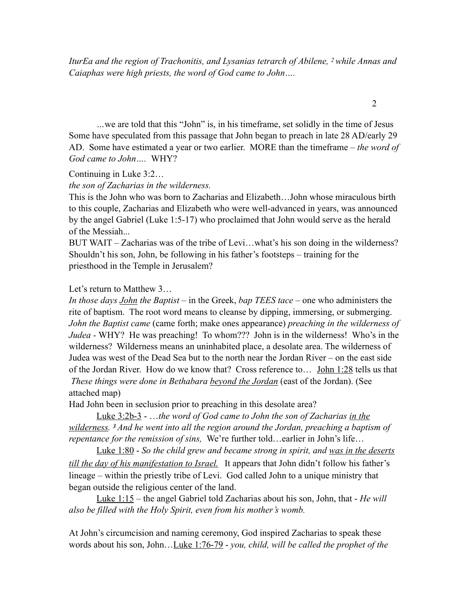*IturEa and the region of Trachonitis, and Lysanias tetrarch of Abilene, 2 while Annas and Caiaphas were high priests, the word of God came to John….* 

 *…*we are told that this "John" is, in his timeframe, set solidly in the time of Jesus Some have speculated from this passage that John began to preach in late 28 AD/early 29 AD. Some have estimated a year or two earlier. MORE than the timeframe – *the word of God came to John….* WHY?

Continuing in Luke 3:2…

*the son of Zacharias in the wilderness.* 

This is the John who was born to Zacharias and Elizabeth…John whose miraculous birth to this couple, Zacharias and Elizabeth who were well-advanced in years, was announced by the angel Gabriel (Luke 1:5-17) who proclaimed that John would serve as the herald of the Messiah...

BUT WAIT – Zacharias was of the tribe of Levi…what's his son doing in the wilderness? Shouldn't his son, John, be following in his father's footsteps – training for the priesthood in the Temple in Jerusalem?

#### Let's return to Matthew 3...

*In those days John the Baptist –* in the Greek, *bap TEES tace –* one who administers the rite of baptism. The root word means to cleanse by dipping, immersing, or submerging. *John the Baptist came* (came forth; make ones appearance) *preaching in the wilderness of Judea -* WHY? He was preaching! To whom??? John is in the wilderness! Who's in the wilderness? Wilderness means an uninhabited place, a desolate area. The wilderness of Judea was west of the Dead Sea but to the north near the Jordan River – on the east side of the Jordan River. How do we know that? Cross reference to… John 1:28 tells us that *These things were done in Bethabara beyond the Jordan* (east of the Jordan). (See attached map)

Had John been in seclusion prior to preaching in this desolate area?

Luke 3:2b-3 - …*the word of God came to John the son of Zacharias in the wilderness. 3 And he went into all the region around the Jordan, preaching a baptism of repentance for the remission of sins,* We're further told…earlier in John's life…

Luke 1:80 - *So the child grew and became strong in spirit, and was in the deserts till the day of his manifestation to Israel.* It appears that John didn't follow his father's lineage – within the priestly tribe of Levi. God called John to a unique ministry that began outside the religious center of the land.

Luke 1:15 – the angel Gabriel told Zacharias about his son, John, that - *He will also be filled with the Holy Spirit, even from his mother's womb.* 

At John's circumcision and naming ceremony, God inspired Zacharias to speak these words about his son, John…Luke 1:76-79 - *you, child, will be called the prophet of the*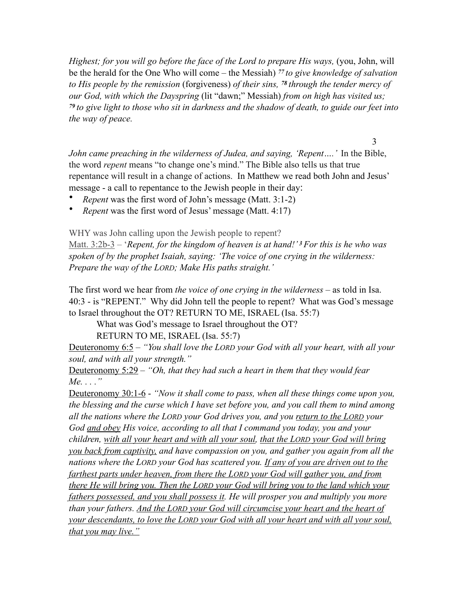*Highest; for you will go before the face of the Lord to prepare His ways, (you, John, will* be the herald for the One Who will come – the Messiah) *77 to give knowledge of salvation to His people by the remission* (forgiveness) *of their sins, 78 through the tender mercy of our God, with which the Dayspring* (lit "dawn;" Messiah) *from on high has visited us; <sup>79</sup>to give light to those who sit in darkness and the shadow of death, to guide our feet into the way of peace.* 

 3 *John came preaching in the wilderness of Judea, and saying, 'Repent….'* In the Bible, the word *repent* means "to change one's mind." The Bible also tells us that true repentance will result in a change of actions. In Matthew we read both John and Jesus' message - a call to repentance to the Jewish people in their day:

- *Repent* was the first word of John's message (Matt. 3:1-2)
- *Repent* was the first word of Jesus' message (Matt. 4:17)

WHY was John calling upon the Jewish people to repent?

Matt. 3:2b-3 – '*Repent, for the kingdom of heaven is at hand!' 3 For this is he who was spoken of by the prophet Isaiah, saying: 'The voice of one crying in the wilderness: Prepare the way of the LORD; Make His paths straight.'* 

The first word we hear from *the voice of one crying in the wilderness –* as told in Isa. 40:3 - is "REPENT." Why did John tell the people to repent? What was God's message to Israel throughout the OT? RETURN TO ME, ISRAEL (Isa. 55:7)

What was God's message to Israel throughout the OT?

RETURN TO ME, ISRAEL (Isa. 55:7)

Deuteronomy 6:5 – *"You shall love the LORD your God with all your heart, with all your soul, and with all your strength."* 

Deuteronomy 5:29 – *"Oh, that they had such a heart in them that they would fear Me. . . ."*

Deuteronomy 30:1-6 - *"Now it shall come to pass, when all these things come upon you, the blessing and the curse which I have set before you, and you call them to mind among all the nations where the LORD your God drives you, and you return to the LORD your God and obey His voice, according to all that I command you today, you and your children, with all your heart and with all your soul, that the LORD your God will bring you back from captivity, and have compassion on you, and gather you again from all the nations where the LORD your God has scattered you. If any of you are driven out to the farthest parts under heaven, from there the LORD your God will gather you, and from there He will bring you. Then the LORD your God will bring you to the land which your fathers possessed, and you shall possess it. He will prosper you and multiply you more than your fathers. And the LORD your God will circumcise your heart and the heart of your descendants, to love the LORD your God with all your heart and with all your soul, that you may live."*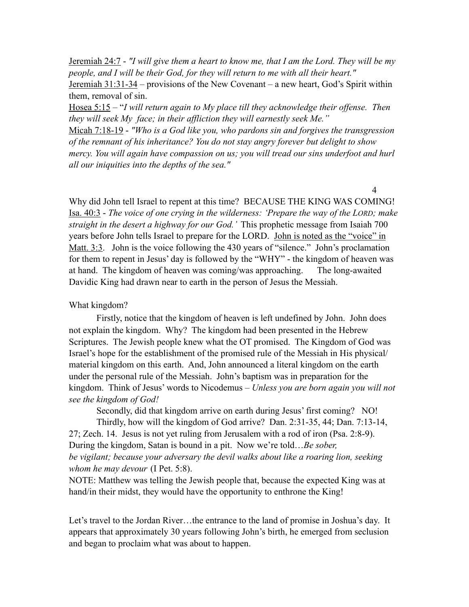Jeremiah 24:7 - *"I will give them a heart to know me, that I am the Lord. They will be my people, and I will be their God, for they will return to me with all their heart."* Jeremiah 31:31-34 – provisions of the New Covenant – a new heart, God's Spirit within them, removal of sin.

Hosea 5:15 – "*I will return again to My place till they acknowledge their offense. Then they will seek My face; in their affliction they will earnestly seek Me."* 

Micah 7:18-19 - *"Who is a God like you, who pardons sin and forgives the transgression of the remnant of his inheritance? You do not stay angry forever but delight to show mercy. You will again have compassion on us; you will tread our sins underfoot and hurl all our iniquities into the depths of the sea."* 

4

Why did John tell Israel to repent at this time? BECAUSE THE KING WAS COMING! Isa. 40:3 - *The voice of one crying in the wilderness: 'Prepare the way of the LORD; make straight in the desert a highway for our God.'* This prophetic message from Isaiah 700 years before John tells Israel to prepare for the LORD. John is noted as the "voice" in Matt. 3:3. John is the voice following the 430 years of "silence." John's proclamation for them to repent in Jesus' day is followed by the "WHY" - the kingdom of heaven was at hand. The kingdom of heaven was coming/was approaching. The long-awaited Davidic King had drawn near to earth in the person of Jesus the Messiah.

### What kingdom?

Firstly, notice that the kingdom of heaven is left undefined by John. John does not explain the kingdom. Why? The kingdom had been presented in the Hebrew Scriptures. The Jewish people knew what the OT promised. The Kingdom of God was Israel's hope for the establishment of the promised rule of the Messiah in His physical/ material kingdom on this earth. And, John announced a literal kingdom on the earth under the personal rule of the Messiah. John's baptism was in preparation for the kingdom. Think of Jesus' words to Nicodemus – *Unless you are born again you will not see the kingdom of God!*

Secondly, did that kingdom arrive on earth during Jesus' first coming? NO!

 Thirdly, how will the kingdom of God arrive? Dan. 2:31-35, 44; Dan. 7:13-14, 27; Zech. 14. Jesus is not yet ruling from Jerusalem with a rod of iron (Psa. 2:8-9). During the kingdom, Satan is bound in a pit. Now we're told…*Be sober, be vigilant; because your adversary the devil walks about like a roaring lion, seeking whom he may devour* (I Pet. 5:8).

NOTE: Matthew was telling the Jewish people that, because the expected King was at hand/in their midst, they would have the opportunity to enthrone the King!

Let's travel to the Jordan River…the entrance to the land of promise in Joshua's day. It appears that approximately 30 years following John's birth, he emerged from seclusion and began to proclaim what was about to happen.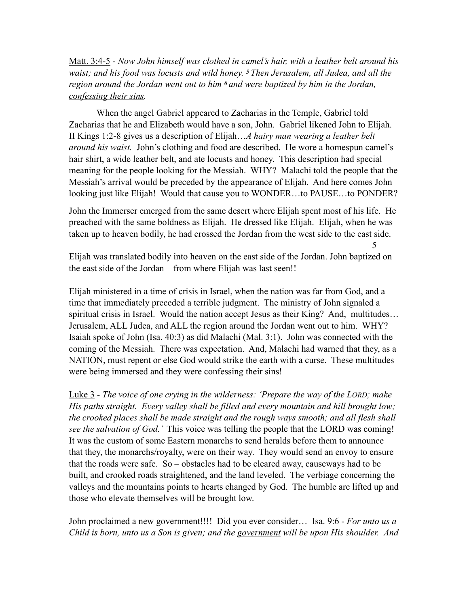Matt. 3:4-5 - *Now John himself was clothed in camel's hair, with a leather belt around his waist; and his food was locusts and wild honey. 5 Then Jerusalem, all Judea, and all the region around the Jordan went out to him 6 and were baptized by him in the Jordan, confessing their sins.* 

 When the angel Gabriel appeared to Zacharias in the Temple, Gabriel told Zacharias that he and Elizabeth would have a son, John. Gabriel likened John to Elijah. II Kings 1:2-8 gives us a description of Elijah…*A hairy man wearing a leather belt around his waist.* John's clothing and food are described. He wore a homespun camel's hair shirt, a wide leather belt, and ate locusts and honey. This description had special meaning for the people looking for the Messiah. WHY? Malachi told the people that the Messiah's arrival would be preceded by the appearance of Elijah. And here comes John looking just like Elijah! Would that cause you to WONDER...to PAUSE...to PONDER?

John the Immerser emerged from the same desert where Elijah spent most of his life. He preached with the same boldness as Elijah. He dressed like Elijah. Elijah, when he was taken up to heaven bodily, he had crossed the Jordan from the west side to the east side.

Elijah was translated bodily into heaven on the east side of the Jordan. John baptized on the east side of the Jordan – from where Elijah was last seen!!

5

Elijah ministered in a time of crisis in Israel, when the nation was far from God, and a time that immediately preceded a terrible judgment. The ministry of John signaled a spiritual crisis in Israel. Would the nation accept Jesus as their King? And, multitudes… Jerusalem, ALL Judea, and ALL the region around the Jordan went out to him. WHY? Isaiah spoke of John (Isa. 40:3) as did Malachi (Mal. 3:1). John was connected with the coming of the Messiah. There was expectation. And, Malachi had warned that they, as a NATION, must repent or else God would strike the earth with a curse. These multitudes were being immersed and they were confessing their sins!

Luke 3 - *The voice of one crying in the wilderness: 'Prepare the way of the LORD; make His paths straight. Every valley shall be filled and every mountain and hill brought low; the crooked places shall be made straight and the rough ways smooth; and all flesh shall see the salvation of God.'* This voice was telling the people that the LORD was coming! It was the custom of some Eastern monarchs to send heralds before them to announce that they, the monarchs/royalty, were on their way. They would send an envoy to ensure that the roads were safe. So – obstacles had to be cleared away, causeways had to be built, and crooked roads straightened, and the land leveled. The verbiage concerning the valleys and the mountains points to hearts changed by God. The humble are lifted up and those who elevate themselves will be brought low.

John proclaimed a new government!!!! Did you ever consider… Isa. 9:6 - *For unto us a Child is born, unto us a Son is given; and the government will be upon His shoulder. And*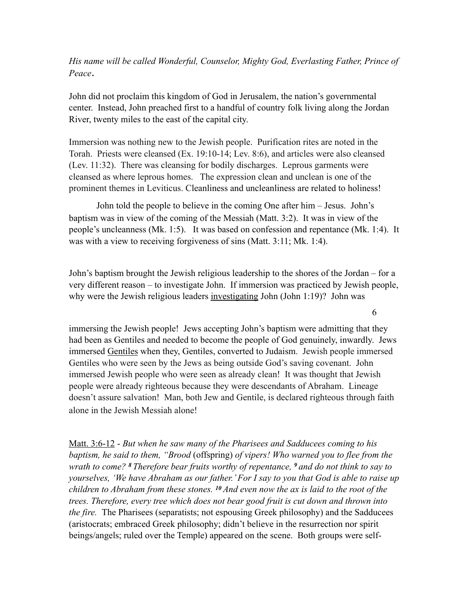*His name will be called Wonderful, Counselor, Mighty God, Everlasting Father, Prince of Peace*.

John did not proclaim this kingdom of God in Jerusalem, the nation's governmental center. Instead, John preached first to a handful of country folk living along the Jordan River, twenty miles to the east of the capital city.

Immersion was nothing new to the Jewish people. Purification rites are noted in the Torah. Priests were cleansed (Ex. 19:10-14; Lev. 8:6), and articles were also cleansed (Lev. 11:32). There was cleansing for bodily discharges. Leprous garments were cleansed as where leprous homes. The expression clean and unclean is one of the prominent themes in Leviticus. Cleanliness and uncleanliness are related to holiness!

John told the people to believe in the coming One after him – Jesus. John's baptism was in view of the coming of the Messiah (Matt. 3:2). It was in view of the people's uncleanness (Mk. 1:5). It was based on confession and repentance (Mk. 1:4). It was with a view to receiving forgiveness of sins (Matt. 3:11; Mk. 1:4).

John's baptism brought the Jewish religious leadership to the shores of the Jordan – for a very different reason – to investigate John. If immersion was practiced by Jewish people, why were the Jewish religious leaders investigating John (John 1:19)? John was

6

immersing the Jewish people! Jews accepting John's baptism were admitting that they had been as Gentiles and needed to become the people of God genuinely, inwardly. Jews immersed Gentiles when they, Gentiles, converted to Judaism. Jewish people immersed Gentiles who were seen by the Jews as being outside God's saving covenant. John immersed Jewish people who were seen as already clean! It was thought that Jewish people were already righteous because they were descendants of Abraham. Lineage doesn't assure salvation! Man, both Jew and Gentile, is declared righteous through faith alone in the Jewish Messiah alone!

Matt. 3:6-12 - *But when he saw many of the Pharisees and Sadducees coming to his baptism, he said to them, "Brood* (offspring) *of vipers! Who warned you to flee from the wrath to come? 8 Therefore bear fruits worthy of repentance, 9 and do not think to say to yourselves, 'We have Abraham as our father.' For I say to you that God is able to raise up children to Abraham from these stones. 10 And even now the ax is laid to the root of the trees. Therefore, every tree which does not bear good fruit is cut down and thrown into the fire.* The Pharisees (separatists; not espousing Greek philosophy) and the Sadducees (aristocrats; embraced Greek philosophy; didn't believe in the resurrection nor spirit beings/angels; ruled over the Temple) appeared on the scene. Both groups were self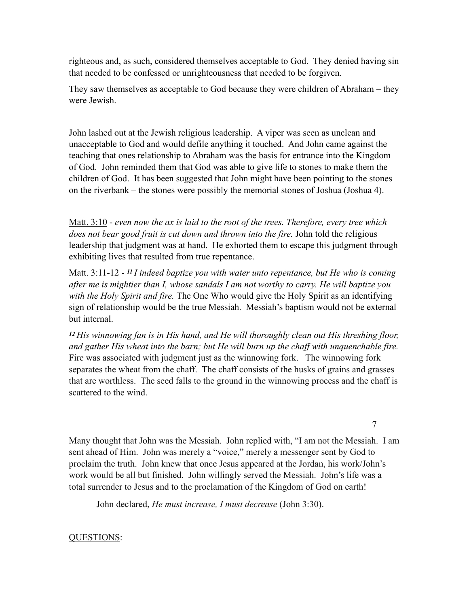righteous and, as such, considered themselves acceptable to God. They denied having sin that needed to be confessed or unrighteousness that needed to be forgiven.

They saw themselves as acceptable to God because they were children of Abraham – they were Jewish.

John lashed out at the Jewish religious leadership. A viper was seen as unclean and unacceptable to God and would defile anything it touched. And John came against the teaching that ones relationship to Abraham was the basis for entrance into the Kingdom of God. John reminded them that God was able to give life to stones to make them the children of God. It has been suggested that John might have been pointing to the stones on the riverbank – the stones were possibly the memorial stones of Joshua (Joshua 4).

Matt. 3:10 - *even now the ax is laid to the root of the trees. Therefore, every tree which does not bear good fruit is cut down and thrown into the fire.* John told the religious leadership that judgment was at hand. He exhorted them to escape this judgment through exhibiting lives that resulted from true repentance.

Matt. 3:11-12 - *11 I indeed baptize you with water unto repentance, but He who is coming after me is mightier than I, whose sandals I am not worthy to carry. He will baptize you with the Holy Spirit and fire.* The One Who would give the Holy Spirit as an identifying sign of relationship would be the true Messiah. Messiah's baptism would not be external but internal.

*<sup>12</sup>His winnowing fan is in His hand, and He will thoroughly clean out His threshing floor, and gather His wheat into the barn; but He will burn up the chaff with unquenchable fire.*  Fire was associated with judgment just as the winnowing fork. The winnowing fork separates the wheat from the chaff. The chaff consists of the husks of grains and grasses that are worthless. The seed falls to the ground in the winnowing process and the chaff is scattered to the wind.

7

Many thought that John was the Messiah. John replied with, "I am not the Messiah. I am sent ahead of Him. John was merely a "voice," merely a messenger sent by God to proclaim the truth. John knew that once Jesus appeared at the Jordan, his work/John's work would be all but finished. John willingly served the Messiah. John's life was a total surrender to Jesus and to the proclamation of the Kingdom of God on earth!

John declared, *He must increase, I must decrease* (John 3:30).

QUESTIONS: